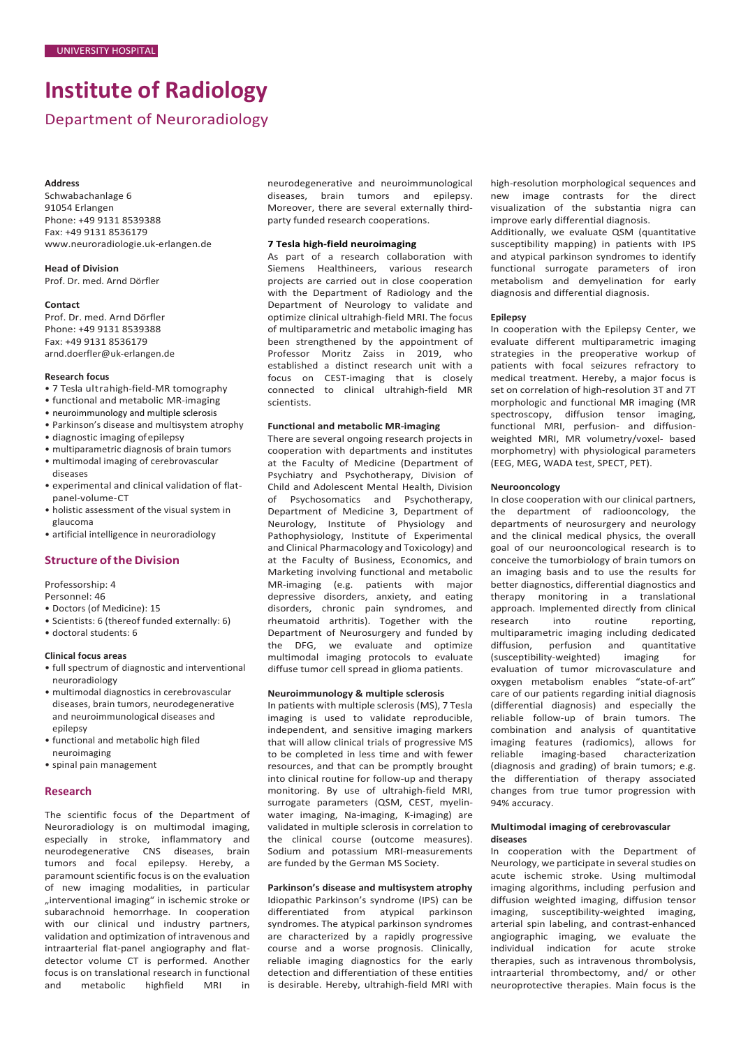# **Institute of Radiology**

Department of Neuroradiology

#### **Address**

Schwabachanlage 6 91054 Erlangen Phone: +49 9131 8539388 Fax: +49 9131 8536179 [www.neuroradiologie.uk-erlangen.de](http://www.neuroradiologie.uk-erlangen.de/)

**Head of Division** Prof. Dr. med. Arnd Dörfler

#### **Contact**

Prof. Dr. med. Arnd Dörfler Phone: +49 9131 8539388 Fax: +49 9131 8536179 [arnd.doerfler@uk-erlangen.de](mailto:arnd.doerfler@uk-erlangen.de)

## **Research focus**

- 7 Tesla ultrahigh-field-MR tomography
- functional and metabolic MR-imaging
- neuroimmunology and multiple sclerosis
- Parkinson's disease and multisystem atrophy
- diagnostic imaging ofepilepsy
- multiparametric diagnosis of brain tumors
- multimodal imaging of cerebrovascular diseases
- experimental and clinical validation of flatpanel-volume-CT
- holistic assessment of the visual system in glaucoma
- artificial intelligence in neuroradiology

# **Structure of the Division**

Professorship: 4

Personnel: 46

- Doctors (of Medicine): 15
- Scientists: 6 (thereof funded externally: 6)
- doctoral students: 6

#### **Clinical focus areas**

- full spectrum of diagnostic and interventional neuroradiology
- multimodal diagnostics in cerebrovascular diseases, brain tumors, neurodegenerative and neuroimmunological diseases and epilepsy
- functional and metabolic high filed neuroimaging
- spinal pain management

#### **Research**

The scientific focus of the Department of Neuroradiology is on multimodal imaging, especially in stroke, inflammatory and neurodegenerative CNS diseases, brain tumors and focal epilepsy. Hereby, a paramount scientific focus is on the evaluation of new imaging modalities, in particular "interventional imaging" in ischemic stroke or subarachnoid hemorrhage. In cooperation with our clinical und industry partners, validation and optimization of intravenous and intraarterial flat-panel angiography and flatdetector volume CT is performed. Another focus is on translational research in functional<br>and metabolic highfield MRI in and metabolic highfield MRI in

neurodegenerative and neuroimmunological diseases, brain tumors and epilepsy. Moreover, there are several externally thirdparty funded research cooperations.

#### **7 Tesla high-field neuroimaging**

As part of a research collaboration with Siemens Healthineers, various research projects are carried out in close cooperation with the Department of Radiology and the Department of Neurology to validate and optimize clinical ultrahigh-field MRI. The focus of multiparametric and metabolic imaging has been strengthened by the appointment of Professor Moritz Zaiss in 2019, who established a distinct research unit with a focus on CEST-imaging that is closely connected to clinical ultrahigh-field MR scientists.

#### **Functional and metabolic MR-imaging**

There are several ongoing research projects in cooperation with departments and institutes at the Faculty of Medicine (Department of Psychiatry and Psychotherapy, Division of Child and Adolescent Mental Health, Division of Psychosomatics and Psychotherapy, Department of Medicine 3, Department of Neurology, Institute of Physiology and Pathophysiology, Institute of Experimental and Clinical Pharmacology and Toxicology) and at the Faculty of Business, Economics, and Marketing involving functional and metabolic MR-imaging (e.g. patients with major depressive disorders, anxiety, and eating disorders, chronic pain syndromes, and rheumatoid arthritis). Together with the Department of Neurosurgery and funded by the DFG, we evaluate and optimize multimodal imaging protocols to evaluate diffuse tumor cell spread in glioma patients.

# **Neuroimmunology & multiple sclerosis**

In patients with multiple sclerosis (MS), 7 Tesla imaging is used to validate reproducible, independent, and sensitive imaging markers that will allow clinical trials of progressive MS to be completed in less time and with fewer resources, and that can be promptly brought into clinical routine for follow-up and therapy monitoring. By use of ultrahigh-field MRI, surrogate parameters (QSM, CEST, myelinwater imaging, Na-imaging, K-imaging) are validated in multiple sclerosis in correlation to the clinical course (outcome measures). Sodium and potassium MRI-measurements are funded by the German MS Society.

#### **Parkinson's disease and multisystem atrophy**

Idiopathic Parkinson's syndrome (IPS) can be differentiated from atypical parkinson syndromes. The atypical parkinson syndromes are characterized by a rapidly progressive course and a worse prognosis. Clinically, reliable imaging diagnostics for the early detection and differentiation of these entities is desirable. Hereby, ultrahigh-field MRI with

high-resolution morphological sequences and new image contrasts for the direct visualization of the substantia nigra can improve early differential diagnosis.

Additionally, we evaluate QSM (quantitative susceptibility mapping) in patients with IPS and atypical parkinson syndromes to identify functional surrogate parameters of iron metabolism and demyelination for early diagnosis and differential diagnosis.

#### **Epilepsy**

In cooperation with the Epilepsy Center, we evaluate different multiparametric imaging strategies in the preoperative workup of patients with focal seizures refractory to .<br>medical treatment. Hereby, a major focus is set on correlation of high-resolution 3T and 7T morphologic and functional MR imaging (MR spectroscopy, diffusion tensor imaging, functional MRI, perfusion- and diffusionweighted MRI, MR volumetry/voxel- based morphometry) with physiological parameters (EEG, MEG, WADA test, SPECT, PET).

#### **Neurooncology**

In close cooperation with our clinical partners, the department of radiooncology, the departments of neurosurgery and neurology and the clinical medical physics, the overall goal of our neurooncological research is to conceive the tumorbiology of brain tumors on an imaging basis and to use the results for better diagnostics, differential diagnostics and therapy monitoring in a translational approach. Implemented directly from clinical<br>research into routine reporting. reporting, multiparametric imaging including dedicated diffusion, perfusion and quantitative (susceptibility-weighted) imaging for evaluation of tumor microvasculature and oxygen metabolism enables "state-of-art" care of our patients regarding initial diagnosis (differential diagnosis) and especially the reliable follow-up of brain tumors. The combination and analysis of quantitative imaging features (radiomics), allows for<br>reliable imaging-based characterization imaging-based (diagnosis and grading) of brain tumors; e.g. the differentiation of therapy associated changes from true tumor progression with 94% accuracy.

#### **Multimodal imaging of cerebrovascular diseases**

In cooperation with the Department of Neurology, we participate in several studies on acute ischemic stroke. Using multimodal imaging algorithms, including perfusion and diffusion weighted imaging, diffusion tensor imaging, susceptibility-weighted imaging, arterial spin labeling, and contrast-enhanced angiographic imaging, we evaluate the individual indication for acute stroke therapies, such as intravenous thrombolysis, intraarterial thrombectomy, and/ or other neuroprotective therapies. Main focus is the